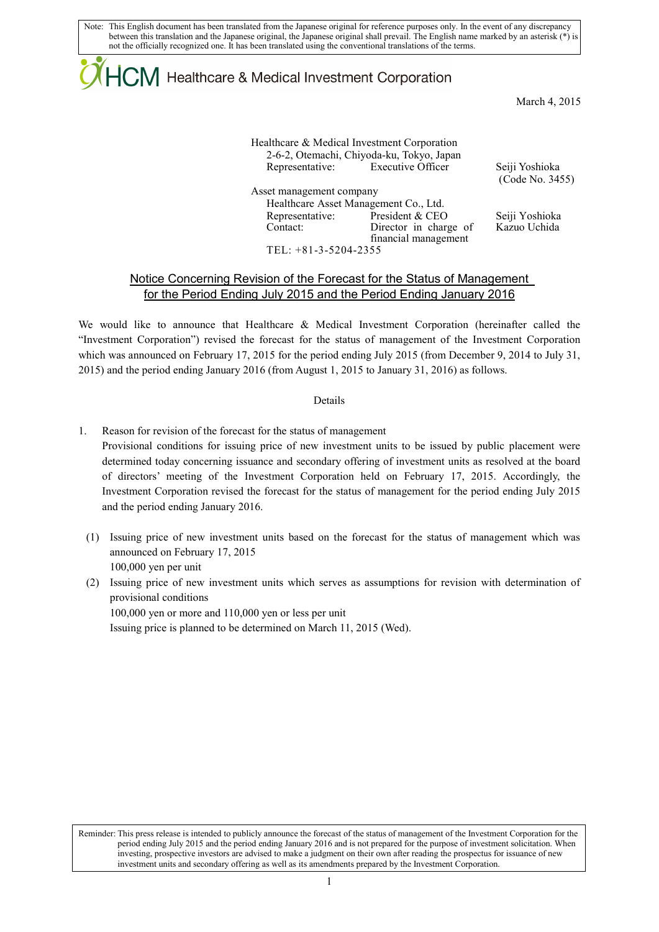Note: This English document has been translated from the Japanese original for reference purposes only. In the event of any discrepancy between this translation and the Japanese original, the Japanese original shall prevail. The English name marked by an asterisk (\*) is not the officially recognized one. It has been translated using the conventional translations of the terms.

# $\mathsf{ICM}\xspace$  Healthcare & Medical Investment Corporation

March 4, 2015

|                             | Healthcare & Medical Investment Corporation<br>2-6-2, Otemachi, Chiyoda-ku, Tokyo, Japan |                                   |
|-----------------------------|------------------------------------------------------------------------------------------|-----------------------------------|
|                             | Representative: Executive Officer                                                        | Seiji Yoshioka<br>(Code No. 3455) |
| Asset management company    |                                                                                          |                                   |
|                             | Healthcare Asset Management Co., Ltd.                                                    |                                   |
| Representative:<br>Contact: | President & CEO<br>Director in charge of                                                 | Seiji Yoshioka<br>Kazuo Uchida    |
| TEL: +81-3-5204-2355        | financial management                                                                     |                                   |

## Notice Concerning Revision of the Forecast for the Status of Management for the Period Ending July 2015 and the Period Ending January 2016

We would like to announce that Healthcare & Medical Investment Corporation (hereinafter called the "Investment Corporation") revised the forecast for the status of management of the Investment Corporation which was announced on February 17, 2015 for the period ending July 2015 (from December 9, 2014 to July 31, 2015) and the period ending January 2016 (from August 1, 2015 to January 31, 2016) as follows.

#### Details

- 1. Reason for revision of the forecast for the status of management Provisional conditions for issuing price of new investment units to be issued by public placement were determined today concerning issuance and secondary offering of investment units as resolved at the board of directors' meeting of the Investment Corporation held on February 17, 2015. Accordingly, the Investment Corporation revised the forecast for the status of management for the period ending July 2015 and the period ending January 2016.
	- (1) Issuing price of new investment units based on the forecast for the status of management which was announced on February 17, 2015 100,000 yen per unit
	- (2) Issuing price of new investment units which serves as assumptions for revision with determination of provisional conditions

100,000 yen or more and 110,000 yen or less per unit Issuing price is planned to be determined on March 11, 2015 (Wed).

Reminder: This press release is intended to publicly announce the forecast of the status of management of the Investment Corporation for the period ending July 2015 and the period ending January 2016 and is not prepared for the purpose of investment solicitation. When investing, prospective investors are advised to make a judgment on their own after reading the prospectus for issuance of new investment units and secondary offering as well as its amendments prepared by the Investment Corporation.